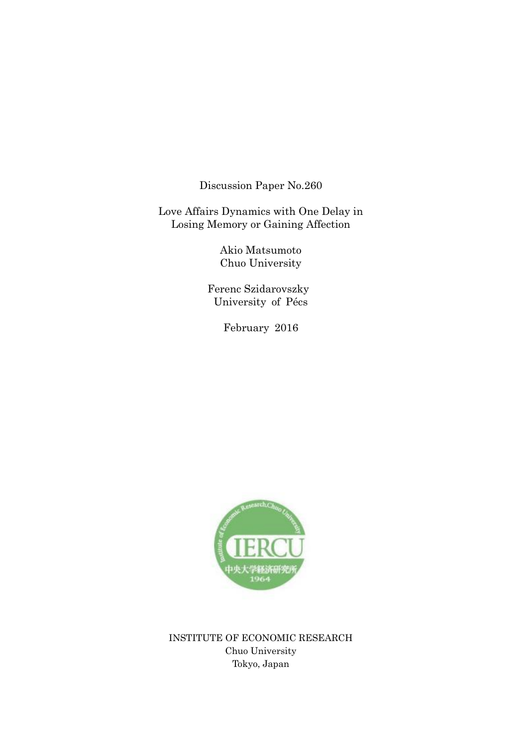Discussion Paper No.260

Love Affairs Dynamics with One Delay in Losing Memory or Gaining Affection

> Akio Matsumoto Chuo University

 Ferenc Szidarovszky University of Pécs

February 2016



INSTITUTE OF ECONOMIC RESEARCH Chuo University Tokyo, Japan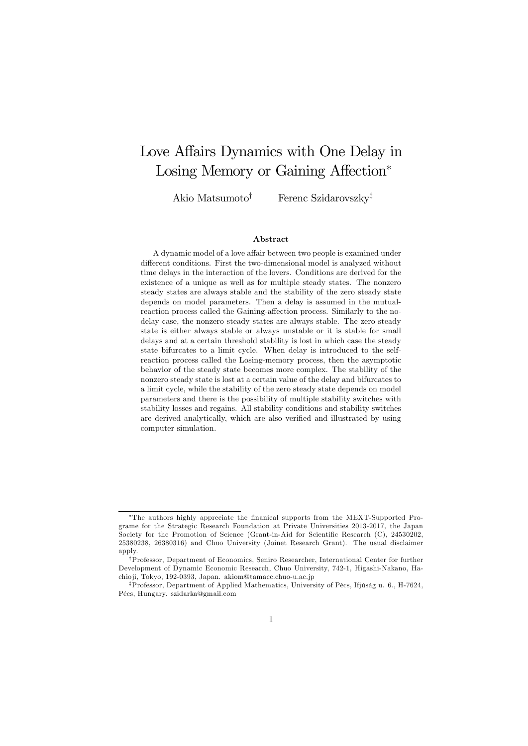# Love Affairs Dynamics with One Delay in Losing Memory or Gaining Affection<sup>∗</sup>

Akio Matsumoto<sup>†</sup> Ferenc Szidarovszky<sup>‡</sup>

#### Abstract

A dynamic model of a love affair between two people is examined under different conditions. First the two-dimensional model is analyzed without time delays in the interaction of the lovers. Conditions are derived for the existence of a unique as well as for multiple steady states. The nonzero steady states are always stable and the stability of the zero steady state depends on model parameters. Then a delay is assumed in the mutualreaction process called the Gaining-affection process. Similarly to the nodelay case, the nonzero steady states are always stable. The zero steady state is either always stable or always unstable or it is stable for small delays and at a certain threshold stability is lost in which case the steady state bifurcates to a limit cycle. When delay is introduced to the selfreaction process called the Losing-memory process, then the asymptotic behavior of the steady state becomes more complex. The stability of the nonzero steady state is lost at a certain value of the delay and bifurcates to a limit cycle, while the stability of the zero steady state depends on model parameters and there is the possibility of multiple stability switches with stability losses and regains. All stability conditions and stability switches are derived analytically, which are also verified and illustrated by using computer simulation.

<sup>∗</sup>The authors highly appreciate the finanical supports from the MEXT-Supported Programe for the Strategic Research Foundation at Private Universities 2013-2017, the Japan Society for the Promotion of Science (Grant-in-Aid for Scientific Research (C), 24530202, 25380238, 26380316) and Chuo University (Joinet Research Grant). The usual disclaimer apply.

<sup>†</sup>Professor, Department of Economics, Seniro Researcher, International Center for further Development of Dynamic Economic Research, Chuo University, 742-1, Higashi-Nakano, Hachio ji, Tokyo, 192-0393, Japan. akiom@tamacc.chuo-u.ac.jp

<sup>‡</sup>Professor, Department of Applied Mathematics, University of Pécs, Ifjúság u. 6., H-7624, Pécs, Hungary. szidarka@gmail.com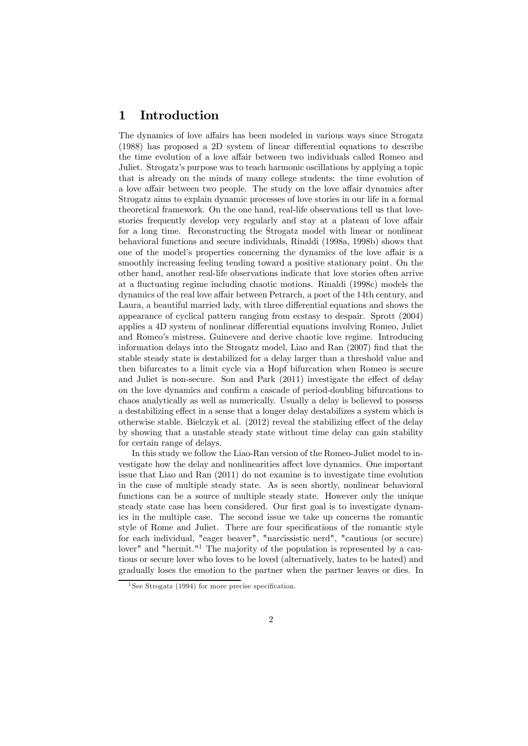### 1 Introduction

The dynamics of love affairs has been modeled in various ways since Strogatz (1988) has proposed a 2D system of linear differential equations to describe the time evolution of a love affair between two individuals called Romeo and Juliet. Strogatz's purpose was to teach harmonic oscillations by applying a topic that is already on the minds of many college students: the time evolution of a love affair between two people. The study on the love affair dynamics after Strogatz aims to explain dynamic processes of love stories in our life in a formal theoretical framework. On the one hand, real-life observations tell us that lovestories frequently develop very regularly and stay at a plateau of love affair for a long time. Reconstructing the Strogatz model with linear or nonlinear behavioral functions and secure individuals, Rinaldi (1998a, 1998b) shows that one of the model's properties concerning the dynamics of the love affair is a smoothly increasing feeling tending toward a positive stationary point. On the other hand, another real-life observations indicate that love stories often arrive at a fluctuating regime including chaotic motions. Rinaldi (1998c) models the dynamics of the real love affair between Petrarch, a poet of the 14th century, and Laura, a beautiful married lady, with three differential equations and shows the appearance of cyclical pattern ranging from ecstasy to despair. Sprott (2004) applies a 4D system of nonlinear differential equations involving Romeo, Juliet and Romeo's mistress, Guinevere and derive chaotic love regime. Introducing information delays into the Strogatz model, Liao and Ran (2007) find that the stable steady state is destabilized for a delay larger than a threshold value and then bifurcates to a limit cycle via a Hopf bifurcation when Romeo is secure and Juliet is non-secure. Son and Park (2011) investigate the effect of delay on the love dynamics and confirm a cascade of period-doubling bifurcations to chaos analytically as well as numerically. Usually a delay is believed to possess a destabilizing effect in a sense that a longer delay destabilizes a system which is otherwise stable. Bielczyk et al. (2012) reveal the stabilizing effect of the delay by showing that a unstable steady state without time delay can gain stability for certain range of delays.

In this study we follow the Liao-Ran version of the Romeo-Juliet model to investigate how the delay and nonlinearities affect love dynamics. One important issue that Liao and Ran (2011) do not examine is to investigate time evolution in the case of multiple steady state. As is seen shortly, nonlinear behavioral functions can be a source of multiple steady state. However only the unique steady state case has been considered. Our first goal is to investigate dynamics in the multiple case. The second issue we take up concerns the romantic style of Rome and Juliet. There are four specifications of the romantic style for each individual, "eager beaver", "narcissistic nerd", "cautious (or secure) lover" and "hermit."<sup>1</sup> The majority of the population is represented by a cautious or secure lover who loves to be loved (alternatively, hates to be hated) and gradually loses the emotion to the partner when the partner leaves or dies. In

<sup>&</sup>lt;sup>1</sup> See Strogatz (1994) for more precise specification.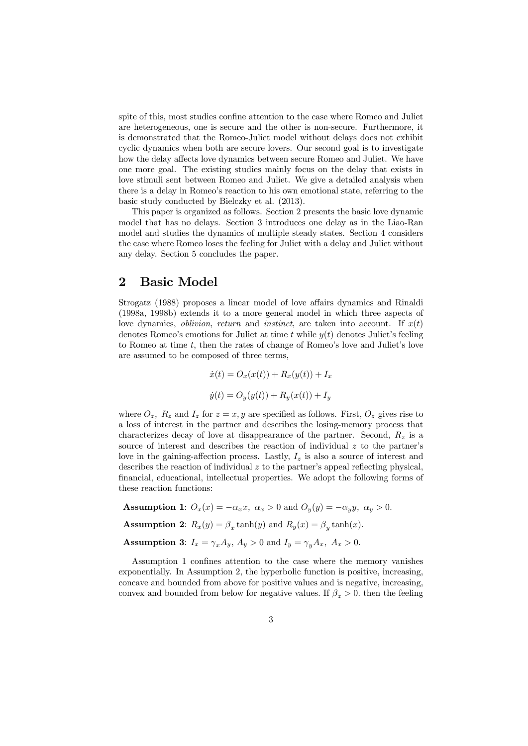spite of this, most studies confine attention to the case where Romeo and Juliet are heterogeneous, one is secure and the other is non-secure. Furthermore, it is demonstrated that the Romeo-Juliet model without delays does not exhibit cyclic dynamics when both are secure lovers. Our second goal is to investigate how the delay affects love dynamics between secure Romeo and Juliet. We have one more goal. The existing studies mainly focus on the delay that exists in love stimuli sent between Romeo and Juliet. We give a detailed analysis when there is a delay in Romeo's reaction to his own emotional state, referring to the basic study conducted by Bielczky et al. (2013).

This paper is organized as follows. Section 2 presents the basic love dynamic model that has no delays. Section 3 introduces one delay as in the Liao-Ran model and studies the dynamics of multiple steady states. Section 4 considers the case where Romeo loses the feeling for Juliet with a delay and Juliet without any delay. Section 5 concludes the paper.

### 2 Basic Model

Strogatz (1988) proposes a linear model of love affairs dynamics and Rinaldi (1998a, 1998b) extends it to a more general model in which three aspects of love dynamics, *oblivion*, *return* and *instinct*, are taken into account. If  $x(t)$ denotes Romeo's emotions for Juliet at time t while  $y(t)$  denotes Juliet's feeling to Romeo at time t, then the rates of change of Romeo's love and Juliet's love are assumed to be composed of three terms,

$$
\dot{x}(t) = O_x(x(t)) + R_x(y(t)) + I_x
$$
  

$$
\dot{y}(t) = O_y(y(t)) + R_y(x(t)) + I_y
$$

where  $O_z$ ,  $R_z$  and  $I_z$  for  $z = x, y$  are specified as follows. First,  $O_z$  gives rise to a loss of interest in the partner and describes the losing-memory process that characterizes decay of love at disappearance of the partner. Second,  $R<sub>z</sub>$  is a source of interest and describes the reaction of individual z to the partner's love in the gaining-affection process. Lastly,  $I_z$  is also a source of interest and describes the reaction of individual  $z$  to the partner's appeal reflecting physical, financial, educational, intellectual properties. We adopt the following forms of these reaction functions:

**Assumption 1:**  $O_x(x) = -\alpha_x x$ ,  $\alpha_x > 0$  and  $O_y(y) = -\alpha_y y$ ,  $\alpha_y > 0$ .

**Assumption 2:**  $R_x(y) = \beta_x \tanh(y)$  and  $R_y(x) = \beta_y \tanh(x)$ .

**Assumption 3:**  $I_x = \gamma_x A_y$ ,  $A_y > 0$  and  $I_y = \gamma_y A_x$ ,  $A_x > 0$ .

Assumption 1 confines attention to the case where the memory vanishes exponentially. In Assumption 2, the hyperbolic function is positive, increasing, concave and bounded from above for positive values and is negative, increasing, convex and bounded from below for negative values. If  $\beta_z > 0$ , then the feeling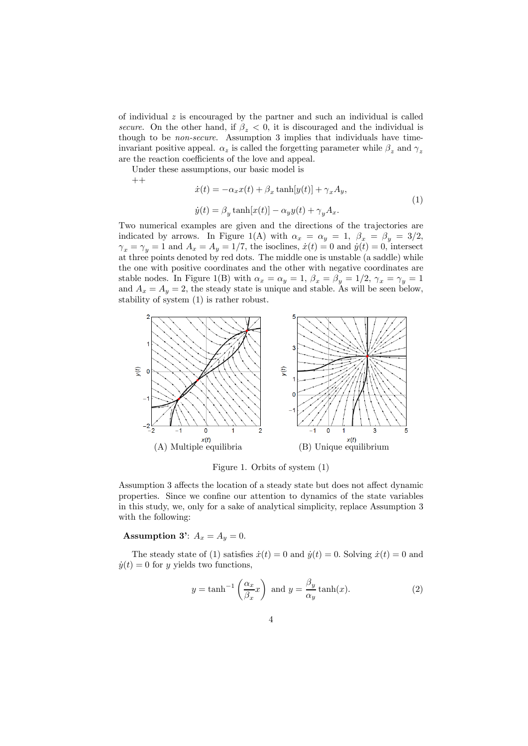of individual z is encouraged by the partner and such an individual is called secure. On the other hand, if  $\beta_z < 0$ , it is discouraged and the individual is though to be non-secure. Assumption 3 implies that individuals have timeinvariant positive appeal.  $\alpha_z$  is called the forgetting parameter while  $\beta_z$  and  $\gamma_z$ are the reaction coefficients of the love and appeal.

Under these assumptions, our basic model is  $++$ 

$$
\begin{aligned} \dot{x}(t) &= -\alpha_x x(t) + \beta_x \tanh[y(t)] + \gamma_x A_y, \\ \dot{y}(t) &= \beta_y \tanh[x(t)] - \alpha_y y(t) + \gamma_y A_x. \end{aligned} \tag{1}
$$

Two numerical examples are given and the directions of the trajectories are indicated by arrows. In Figure 1(A) with  $\alpha_x = \alpha_y = 1$ ,  $\beta_x = \beta_y = 3/2$ ,  $\gamma_x = \gamma_y = 1$  and  $A_x = A_y = 1/7$ , the isoclines,  $\dot{x}(t) = 0$  and  $\dot{y}(t) = 0$ , intersect at three points denoted by red dots. The middle one is unstable (a saddle) while the one with positive coordinates and the other with negative coordinates are stable nodes. In Figure 1(B) with  $\alpha_x = \alpha_y = 1$ ,  $\beta_x = \beta_y = 1/2$ ,  $\gamma_x = \gamma_y = 1$ and  $A_x = A_y = 2$ , the steady state is unique and stable. As will be seen below, stability of system (1) is rather robust.



Figure 1. Orbits of system (1)

Assumption 3 affects the location of a steady state but does not affect dynamic properties. Since we confine our attention to dynamics of the state variables in this study, we, only for a sake of analytical simplicity, replace Assumption 3 with the following:

### Assumption 3':  $A_x = A_y = 0$ .

The steady state of (1) satisfies  $\dot{x}(t)=0$  and  $\dot{y}(t)=0$ . Solving  $\dot{x}(t)=0$  and  $\dot{y}(t)=0$  for y yields two functions,

$$
y = \tanh^{-1}\left(\frac{\alpha_x}{\beta_x}x\right)
$$
 and  $y = \frac{\beta_y}{\alpha_y}\tanh(x)$ . (2)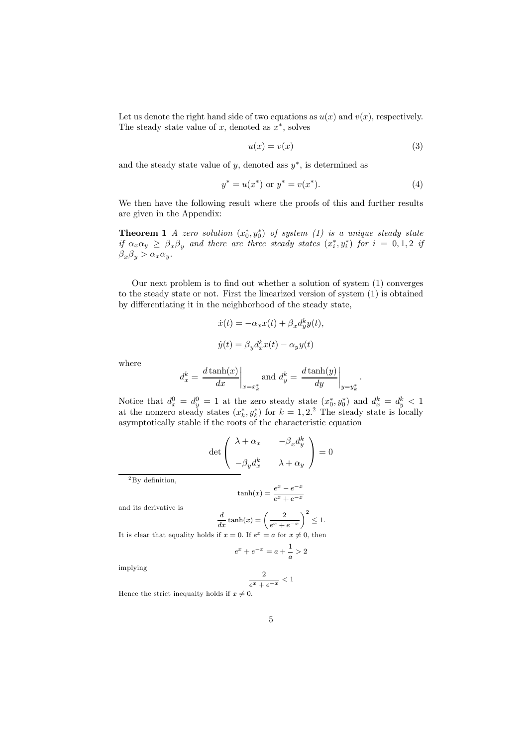Let us denote the right hand side of two equations as  $u(x)$  and  $v(x)$ , respectively. The steady state value of  $x$ , denoted as  $x^*$ , solves

$$
u(x) = v(x) \tag{3}
$$

and the steady state value of  $y$ , denoted ass  $y^*$ , is determined as

$$
y^* = u(x^*) \text{ or } y^* = v(x^*). \tag{4}
$$

We then have the following result where the proofs of this and further results are given in the Appendix:

**Theorem 1** A zero solution  $(x_0^*, y_0^*)$  of system (1) is a unique steady state if  $\alpha_x \alpha_y \geq \beta_x \beta_y$  and there are three steady states  $(x_i^*, y_i^*)$  for  $i = 0, 1, 2$  if  $\beta_x \beta_y > \alpha_x \alpha_y$ .

Our next problem is to find out whether a solution of system (1) converges to the steady state or not. First the linearized version of system (1) is obtained by differentiating it in the neighborhood of the steady state,

$$
\dot{x}(t) = -\alpha_x x(t) + \beta_x d_y^k y(t),
$$
  

$$
\dot{y}(t) = \beta_y d_x^k x(t) - \alpha_y y(t)
$$

where

$$
d_x^k = \left. \frac{d \tanh(x)}{dx} \right|_{x=x_k^*} \text{ and } d_y^k = \left. \frac{d \tanh(y)}{dy} \right|_{y=y_k^*}.
$$

Notice that  $d_x^0 = d_y^0 = 1$  at the zero steady state  $(x_0^*, y_0^*)$  and  $d_x^k = d_y^k < 1$ at the nonzero steady states  $(x_k^*, y_k^*)$  for  $k = 1, 2, 2$ . The steady state is locally asymptotically stable if the roots of the characteristic equation

$$
\det \left(\begin{array}{cc} \lambda+\alpha_x & -\beta_x d_y^k \\ \\ -\beta_y d_x^k & \lambda+\alpha_y \end{array}\right)=0
$$

 ${}^{2}$ By definition,

$$
\tanh(x) = \frac{e^x - e^{-x}}{e^x + e^{-x}}
$$

and its derivative is

$$
\frac{d}{dx}\tanh(x) = \left(\frac{2}{e^x + e^{-x}}\right)^2 \le 1.
$$

It is clear that equality holds if  $x = 0$ . If  $e^x = a$  for  $x \neq 0$ , then

$$
e^x + e^{-x} = a + \frac{1}{a} > 2
$$

implying

$$
\frac{2}{e^x+e^{-x}}<1
$$

Hence the strict inequalty holds if  $x \neq 0$ .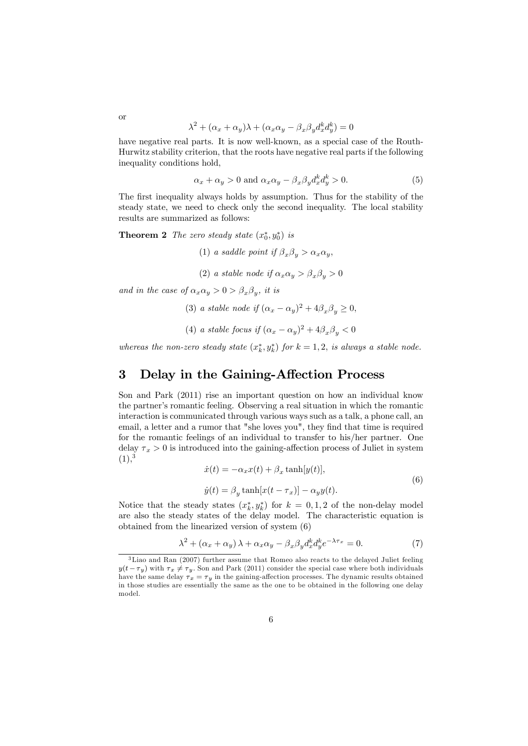$$
\lambda^{2} + (\alpha_{x} + \alpha_{y})\lambda + (\alpha_{x}\alpha_{y} - \beta_{x}\beta_{y}d_{x}^{k}d_{y}^{k}) = 0
$$

have negative real parts. It is now well-known, as a special case of the Routh-Hurwitz stability criterion, that the roots have negative real parts if the following inequality conditions hold,

$$
\alpha_x + \alpha_y > 0 \text{ and } \alpha_x \alpha_y - \beta_x \beta_y d_x^k d_y^k > 0. \tag{5}
$$

The first inequality always holds by assumption. Thus for the stability of the steady state, we need to check only the second inequality. The local stability results are summarized as follows:

**Theorem 2** The zero steady state  $(x_0^*, y_0^*)$  is

- (1) a saddle point if  $\beta_x \beta_y > \alpha_x \alpha_y$ ,
- (2) a stable node if  $\alpha_x \alpha_y > \beta_x \beta_y > 0$

and in the case of  $\alpha_x \alpha_y > 0 > \beta_x \beta_y$ , it is

- (3) a stable node if  $(\alpha_x \alpha_y)^2 + 4\beta_x \beta_y \geq 0$ ,
- (4) a stable focus if  $(\alpha_x \alpha_y)^2 + 4\beta_x\beta_y < 0$

whereas the non-zero steady state  $(x_k^*, y_k^*)$  for  $k = 1, 2$ , is always a stable node.

### 3 Delay in the Gaining-Affection Process

Son and Park (2011) rise an important question on how an individual know the partner's romantic feeling. Observing a real situation in which the romantic interaction is communicated through various ways such as a talk, a phone call, an email, a letter and a rumor that "she loves you", they find that time is required for the romantic feelings of an individual to transfer to his/her partner. One delay  $\tau_x > 0$  is introduced into the gaining-affection process of Juliet in system  $(1),<sup>3</sup>$ 

$$
\begin{aligned} \dot{x}(t) &= -\alpha_x x(t) + \beta_x \tanh[y(t)],\\ \dot{y}(t) &= \beta_y \tanh[x(t - \tau_x)] - \alpha_y y(t). \end{aligned} \tag{6}
$$

Notice that the steady states  $(x_k^*, y_k^*)$  for  $k = 0, 1, 2$  of the non-delay model are also the steady states of the delay model. The characteristic equation is obtained from the linearized version of system (6)

$$
\lambda^2 + (\alpha_x + \alpha_y) \lambda + \alpha_x \alpha_y - \beta_x \beta_y d_x^k d_y^k e^{-\lambda \tau_x} = 0.
$$
 (7)

or

<sup>3</sup>Liao and Ran (2007) further assume that Romeo also reacts to the delayed Juliet feeling  $y(t - \tau_y)$  with  $\tau_x \neq \tau_y$ . Son and Park (2011) consider the special case where both individuals have the same delay  $\tau_x = \tau_y$  in the gaining-affection processes. The dynamic results obtained in those studies are essentially the same as the one to be obtained in the following one delay model.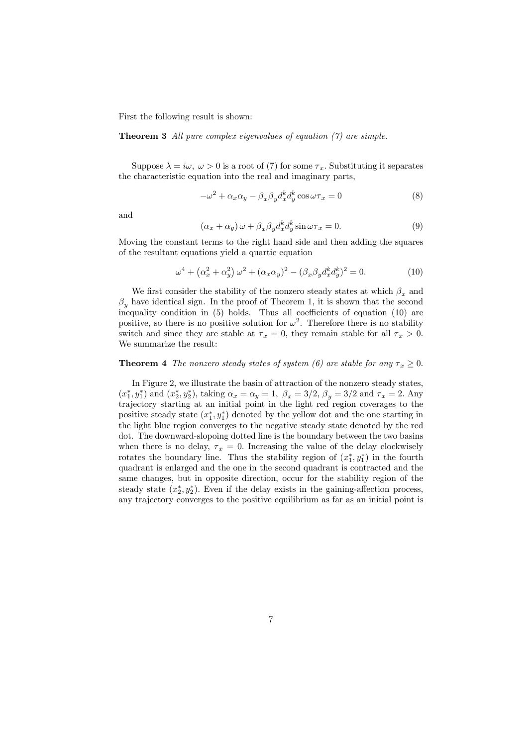First the following result is shown:

**Theorem 3** All pure complex eigenvalues of equation  $(7)$  are simple.

Suppose  $\lambda = i\omega, \ \omega > 0$  is a root of (7) for some  $\tau_x$ . Substituting it separates the characteristic equation into the real and imaginary parts,

$$
-\omega^2 + \alpha_x \alpha_y - \beta_x \beta_y d_x^k d_y^k \cos \omega \tau_x = 0 \tag{8}
$$

and

$$
(\alpha_x + \alpha_y)\,\omega + \beta_x\beta_y d_x^k d_y^k \sin \omega \tau_x = 0. \tag{9}
$$

Moving the constant terms to the right hand side and then adding the squares of the resultant equations yield a quartic equation

$$
\omega^4 + \left(\alpha_x^2 + \alpha_y^2\right)\omega^2 + \left(\alpha_x\alpha_y\right)^2 - \left(\beta_x\beta_yd_x^kd_y^k\right)^2 = 0.
$$
 (10)

We first consider the stability of the nonzero steady states at which  $\beta_x$  and  $\beta_{\nu}$  have identical sign. In the proof of Theorem 1, it is shown that the second inequality condition in (5) holds. Thus all coefficients of equation (10) are positive, so there is no positive solution for  $\omega^2$ . Therefore there is no stability switch and since they are stable at  $\tau_x = 0$ , they remain stable for all  $\tau_x > 0$ . We summarize the result:

**Theorem 4** The nonzero steady states of system (6) are stable for any  $\tau_x \geq 0$ .

In Figure 2, we illustrate the basin of attraction of the nonzero steady states,  $(x_1^*, y_1^*)$  and  $(x_2^*, y_2^*)$ , taking  $\alpha_x = \alpha_y = 1$ ,  $\beta_x = 3/2$ ,  $\beta_y = 3/2$  and  $\tau_x = 2$ . Any trajectory starting at an initial point in the light red region coverages to the positive steady state  $(x_1^*, y_1^*)$  denoted by the yellow dot and the one starting in the light blue region converges to the negative steady state denoted by the red dot. The downward-slopoing dotted line is the boundary between the two basins when there is no delay,  $\tau_x = 0$ . Increasing the value of the delay clockwisely rotates the boundary line. Thus the stability region of  $(x_1^*, y_1^*)$  in the fourth quadrant is enlarged and the one in the second quadrant is contracted and the same changes, but in opposite direction, occur for the stability region of the steady state  $(x_2^*, y_2^*)$ . Even if the delay exists in the gaining-affection process, any trajectory converges to the positive equilibrium as far as an initial point is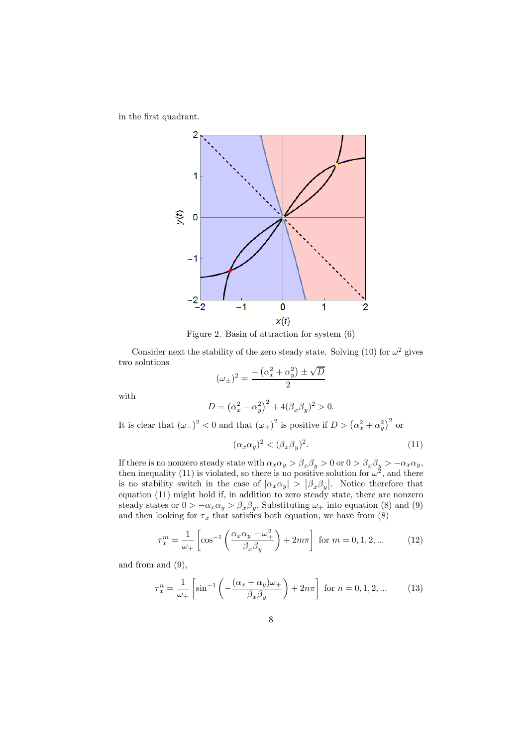in the first quadrant.



Figure 2. Basin of attraction for system (6)

Consider next the stability of the zero steady state. Solving (10) for  $\omega^2$  gives two solutions

$$
(\omega_{\pm})^2 = \frac{-\left(\alpha_x^2 + \alpha_y^2\right) \pm \sqrt{D}}{2}
$$

with

$$
D = (\alpha_x^2 - \alpha_y^2)^2 + 4(\beta_x \beta_y)^2 > 0.
$$

It is clear that  $(\omega_-)^2 < 0$  and that  $(\omega_+)^2$  is positive if  $D > (\alpha_x^2 + \alpha_y^2)^2$  or

$$
(\alpha_x \alpha_y)^2 < (\beta_x \beta_y)^2. \tag{11}
$$

If there is no nonzero steady state with  $\alpha_x \alpha_y > \beta_x \beta_y > 0$  or  $0 > \beta_x \beta_y > -\alpha_x \alpha_y$ , then inequality (11) is violated, so there is no positive solution for  $\omega^2$ , and there is no stability switch in the case of  $|\alpha_x \alpha_y| > |\beta_x \beta_y|$ . Notice therefore that equation (11) might hold if, in addition to zero steady state, there are nonzero steady states or  $0 > -\alpha_x \alpha_y > \beta_x \beta_y$ . Substituting  $\omega_+$  into equation (8) and (9) and then looking for  $\tau_x$  that satisfies both equation, we have from (8)

$$
\tau_x^m = \frac{1}{\omega_+} \left[ \cos^{-1} \left( \frac{\alpha_x \alpha_y - \omega_+^2}{\beta_x \beta_y} \right) + 2m\pi \right] \text{ for } m = 0, 1, 2, \dots \tag{12}
$$

and from and (9),

$$
\tau_x^n = \frac{1}{\omega_+} \left[ \sin^{-1} \left( -\frac{(\alpha_x + \alpha_y)\omega_+}{\beta_x \beta_y} \right) + 2n\pi \right] \text{ for } n = 0, 1, 2, \dots \tag{13}
$$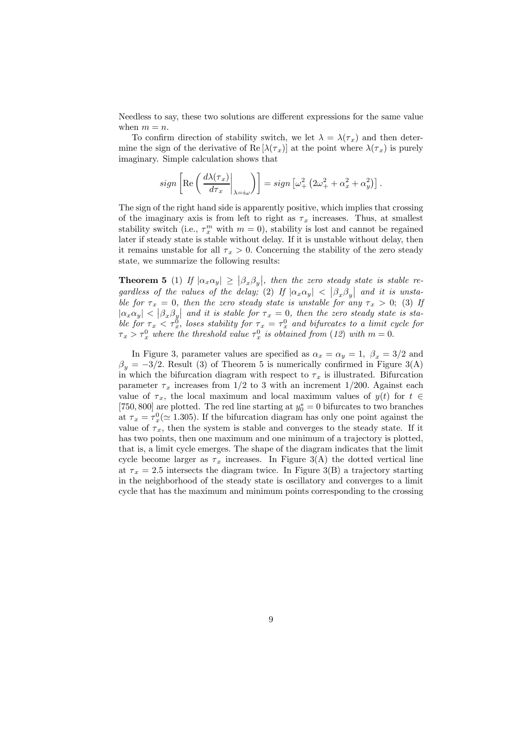Needless to say, these two solutions are different expressions for the same value when  $m = n$ .

To confirm direction of stability switch, we let  $\lambda = \lambda(\tau_x)$  and then determine the sign of the derivative of Re  $[\lambda(\tau_x)]$  at the point where  $\lambda(\tau_x)$  is purely imaginary. Simple calculation shows that

$$
sign\left[\text{Re}\left(\left.\frac{d\lambda(\tau_x)}{d\tau_x}\right|_{\lambda=i\omega}\right)\right] = sign\left[\omega_+^2\left(2\omega_+^2 + \alpha_x^2 + \alpha_y^2\right)\right].
$$

The sign of the right hand side is apparently positive, which implies that crossing of the imaginary axis is from left to right as  $\tau_x$  increases. Thus, at smallest stability switch (i.e.,  $\tau_x^m$  with  $m = 0$ ), stability is lost and cannot be regained later if steady state is stable without delay. If it is unstable without delay, then it remains unstable for all  $\tau_x > 0$ . Concerning the stability of the zero steady state, we summarize the following results:

**Theorem 5** (1) If  $|\alpha_x \alpha_y| \geq |\beta_x \beta_y|$ , then the zero steady state is stable regardless of the values of the delay; (2) If  $|\alpha_x \alpha_y|$  <  $|\beta_x \beta_y|$  and it is unstable for  $\tau_x = 0$ , then the zero steady state is unstable for any  $\tau_x > 0$ ; (3) If  $|\alpha_x \alpha_y|$  <  $|\beta_x \beta_y|$  and it is stable for  $\tau_x = 0$ , then the zero steady state is stable for  $\tau_x < \tau_x^0$ , loses stability for  $\tau_x = \tau_x^0$  and bifurcates to a limit cycle for  $\tau_x > \tau_x^0$  where the threshold value  $\tau_x^0$  is obtained from (12) with  $m = 0$ .

In Figure 3, parameter values are specified as  $\alpha_x = \alpha_y = 1$ ,  $\beta_x = 3/2$  and  $\beta_y = -3/2$ . Result (3) of Theorem 5 is numerically confirmed in Figure 3(A) in which the bifurcation diagram with respect to  $\tau_x$  is illustrated. Bifurcation parameter  $\tau_x$  increases from 1/2 to 3 with an increment 1/200. Against each value of  $\tau_x$ , the local maximum and local maximum values of  $y(t)$  for  $t \in$ [750, 800] are plotted. The red line starting at  $y_0^* = 0$  bifurcates to two branches at  $\tau_x = \tau_x^0 (\approx 1.305)$ . If the bifurcation diagram has only one point against the value of  $\tau_x$ , then the system is stable and converges to the steady state. If it has two points, then one maximum and one minimum of a trajectory is plotted, that is, a limit cycle emerges. The shape of the diagram indicates that the limit cycle become larger as  $\tau_x$  increases. In Figure 3(A) the dotted vertical line at  $\tau_x = 2.5$  intersects the diagram twice. In Figure 3(B) a trajectory starting in the neighborhood of the steady state is oscillatory and converges to a limit cycle that has the maximum and minimum points corresponding to the crossing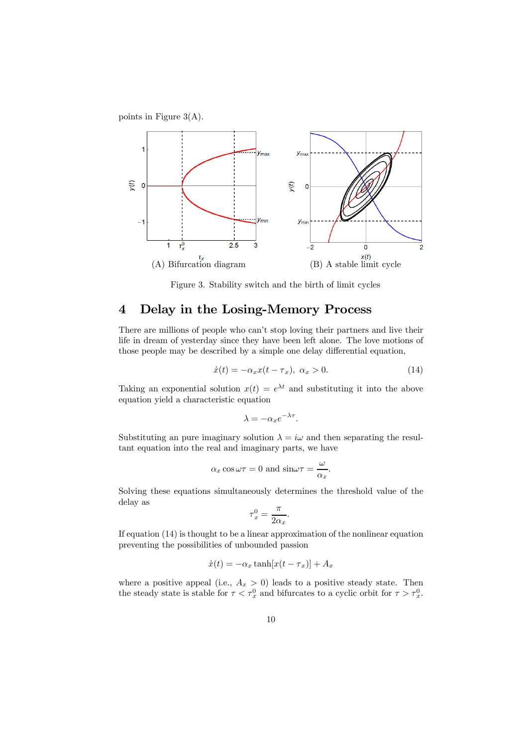points in Figure 3(A).



Figure 3. Stability switch and the birth of limit cycles

# 4 Delay in the Losing-Memory Process

There are millions of people who can't stop loving their partners and live their life in dream of yesterday since they have been left alone. The love motions of those people may be described by a simple one delay differential equation,

$$
\dot{x}(t) = -\alpha_x x(t - \tau_x), \ \alpha_x > 0. \tag{14}
$$

Taking an exponential solution  $x(t) = e^{\lambda t}$  and substituting it into the above equation yield a characteristic equation

 $\lambda = -\alpha_x e^{-\lambda \tau}.$ 

Substituting an pure imaginary solution  $\lambda = i\omega$  and then separating the resultant equation into the real and imaginary parts, we have

$$
\alpha_x \cos \omega \tau = 0
$$
 and  $\sin \omega \tau = \frac{\omega}{\alpha_x}$ .

Solving these equations simultaneously determines the threshold value of the delay as

$$
\tau_x^0 = \frac{\pi}{2\alpha_x}.
$$

If equation (14) is thought to be a linear approximation of the nonlinear equation preventing the possibilities of unbounded passion

$$
\dot{x}(t) = -\alpha_x \tanh[x(t - \tau_x)] + A_x
$$

where a positive appeal (i.e.,  $A_x > 0$ ) leads to a positive steady state. Then the steady state is stable for  $\tau < \tau_x^0$  and bifurcates to a cyclic orbit for  $\tau > \tau_x^0$ .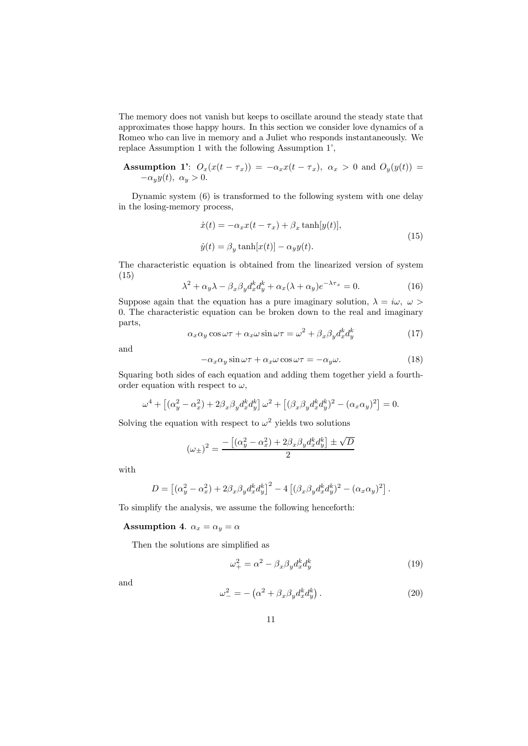The memory does not vanish but keeps to oscillate around the steady state that approximates those happy hours. In this section we consider love dynamics of a Romeo who can live in memory and a Juliet who responds instantaneously. We replace Assumption 1 with the following Assumption 1',

**Assumption 1':** 
$$
O_x(x(t-\tau_x)) = -\alpha_x x(t-\tau_x)
$$
,  $\alpha_x > 0$  and  $O_y(y(t)) = -\alpha_y y(t)$ ,  $\alpha_y > 0$ .

Dynamic system (6) is transformed to the following system with one delay in the losing-memory process,

$$
\begin{aligned} \dot{x}(t) &= -\alpha_x x(t - \tau_x) + \beta_x \tanh[y(t)],\\ \dot{y}(t) &= \beta_y \tanh[x(t)] - \alpha_y y(t). \end{aligned} \tag{15}
$$

The characteristic equation is obtained from the linearized version of system (15)

$$
\lambda^2 + \alpha_y \lambda - \beta_x \beta_y d_x^k d_y^k + \alpha_x (\lambda + \alpha_y) e^{-\lambda \tau_x} = 0.
$$
 (16)

Suppose again that the equation has a pure imaginary solution,  $\lambda = i\omega, \ \omega >$ 0. The characteristic equation can be broken down to the real and imaginary parts,

$$
\alpha_x \alpha_y \cos \omega \tau + \alpha_x \omega \sin \omega \tau = \omega^2 + \beta_x \beta_y d_x^k d_y^k \tag{17}
$$

and

$$
-\alpha_x \alpha_y \sin \omega \tau + \alpha_x \omega \cos \omega \tau = -\alpha_y \omega.
$$
 (18)

Squaring both sides of each equation and adding them together yield a fourthorder equation with respect to  $\omega$ ,

$$
\omega^4 + \left[ (\alpha_y^2 - \alpha_x^2) + 2\beta_x \beta_y d_x^k d_y^k \right] \omega^2 + \left[ (\beta_x \beta_y d_x^k d_y^k)^2 - (\alpha_x \alpha_y)^2 \right] = 0.
$$

Solving the equation with respect to  $\omega^2$  yields two solutions

$$
(\omega_{\pm})^2=\frac{-\left[(\alpha_y^2-\alpha_x^2)+2\beta_x\beta_yd_x^kd_y^k\right]\pm\sqrt{D}}{2}
$$

with

$$
D = \left[ (\alpha_y^2 - \alpha_x^2) + 2\beta_x \beta_y d_x^k d_y^k \right]^2 - 4 \left[ (\beta_x \beta_y d_x^k d_y^k)^2 - (\alpha_x \alpha_y)^2 \right].
$$

To simplify the analysis, we assume the following henceforth:

**Assumption 4.**  $\alpha_x = \alpha_y = \alpha$ 

Then the solutions are simplified as

$$
\omega_{+}^{2} = \alpha_{-}^{2} - \beta_{x}\beta_{y}d_{x}^{k}d_{y}^{k}
$$
\n(19)

and

$$
\omega_{-}^{2} = -\left(\alpha^{2} + \beta_{x}\beta_{y}d_{x}^{k}d_{y}^{k}\right). \tag{20}
$$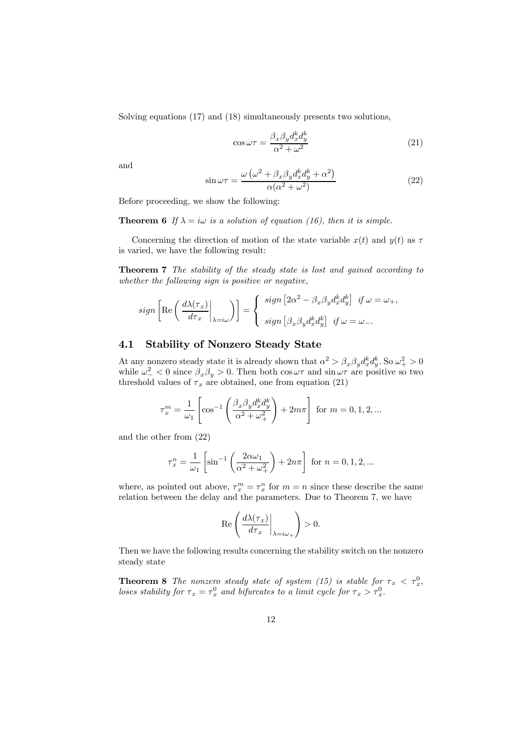Solving equations (17) and (18) simultaneously presents two solutions,

$$
\cos \omega \tau = \frac{\beta_x \beta_y d_x^k d_y^k}{\alpha^2 + \omega^2} \tag{21}
$$

and

$$
\sin \omega \tau = \frac{\omega \left(\omega^2 + \beta_x \beta_y d_x^k d_y^k + \alpha^2\right)}{\alpha(\alpha^2 + \omega^2)}
$$
\n(22)

Before proceeding, we show the following:

**Theorem 6** If  $\lambda = i\omega$  is a solution of equation (16), then it is simple.

Concerning the direction of motion of the state variable  $x(t)$  and  $y(t)$  as  $\tau$ is varied, we have the following result:

Theorem 7 The stability of the steady state is lost and gained according to whether the following sign is positive or negative,

$$
sign\left[ \text{Re} \left( \frac{d \lambda(\tau_x)}{d \tau_x} \bigg|_{\lambda = i \omega} \right) \right] = \left\{ \begin{array}{l} sign\left[ 2 \alpha^2 - \beta_x \beta_y d_x^k d_y^k \right] \; \text{if} \; \omega = \omega_+, \\[3mm] sign\left[ \beta_x \beta_y d_x^k d_y^k \right] \; \text{if} \; \omega = \omega_-. \end{array} \right.
$$

### 4.1 Stability of Nonzero Steady State

At any nonzero steady state it is already shown that  $\alpha^2 > \beta_x \beta_y d_x^k d_y^k$ . So  $\omega_+^2 > 0$ while  $\omega^2 < 0$  since  $\beta_x \beta_y > 0$ . Then both  $\cos \omega \tau$  and  $\sin \omega \tau$  are positive so two threshold values of  $\tau_x$  are obtained, one from equation (21)

$$
\tau_x^m = \frac{1}{\omega_1} \left[ \cos^{-1} \left( \frac{\beta_x \beta_y d_x^k d_y^k}{\alpha^2 + \omega_+^2} \right) + 2m\pi \right] \text{ for } m = 0, 1, 2, \dots
$$

and the other from (22)

$$
\tau_x^n = \frac{1}{\omega_1} \left[ \sin^{-1} \left( \frac{2\alpha \omega_1}{\alpha^2 + \omega_+^2} \right) + 2n\pi \right] \text{ for } n = 0, 1, 2, \dots
$$

where, as pointed out above,  $\tau_x^m = \tau_x^n$  for  $m = n$  since these describe the same relation between the delay and the parameters. Due to Theorem 7, we have

$$
\operatorname{Re}\left(\left.\frac{d\lambda(\tau_x)}{d\tau_x}\right|_{\lambda=i\omega_+}\right)>0.
$$

Then we have the following results concerning the stability switch on the nonzero steady state

**Theorem 8** The nonzero steady state of system (15) is stable for  $\tau_x < \tau_x^0$ , loses stability for  $\tau_x = \tau_x^0$  and bifurcates to a limit cycle for  $\tau_x > \tau_x^0$ .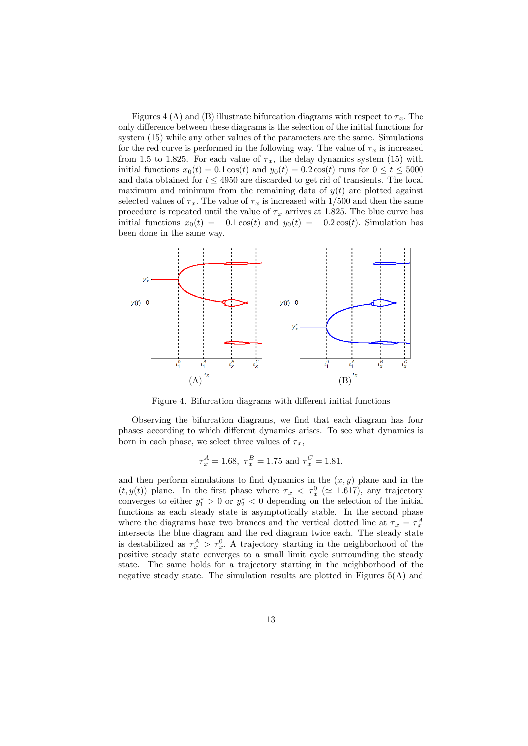Figures 4 (A) and (B) illustrate bifurcation diagrams with respect to  $\tau_x$ . The only difference between these diagrams is the selection of the initial functions for system (15) while any other values of the parameters are the same. Simulations for the red curve is performed in the following way. The value of  $\tau_x$  is increased from 1.5 to 1.825. For each value of  $\tau_x$ , the delay dynamics system (15) with initial functions  $x_0(t)=0.1 \cos(t)$  and  $y_0(t)=0.2 \cos(t)$  runs for  $0 \le t \le 5000$ and data obtained for  $t \leq 4950$  are discarded to get rid of transients. The local maximum and minimum from the remaining data of  $y(t)$  are plotted against selected values of  $\tau_x$ . The value of  $\tau_x$  is increased with 1/500 and then the same procedure is repeated until the value of  $\tau_x$  arrives at 1.825. The blue curve has initial functions  $x_0(t) = -0.1 \cos(t)$  and  $y_0(t) = -0.2 \cos(t)$ . Simulation has been done in the same way.



Figure 4. Bifurcation diagrams with different initial functions

Observing the bifurcation diagrams, we find that each diagram has four phases according to which different dynamics arises. To see what dynamics is born in each phase, we select three values of  $\tau_x$ ,

$$
\tau_x^A = 1.68, \ \tau_x^B = 1.75 \text{ and } \tau_x^C = 1.81.
$$

and then perform simulations to find dynamics in the  $(x, y)$  plane and in the  $(t, y(t))$  plane. In the first phase where  $\tau_x < \tau_x^0$  ( $\simeq$  1.617), any trajectory converges to either  $y_1^* > 0$  or  $y_2^* < 0$  depending on the selection of the initial functions as each steady state is asymptotically stable. In the second phase where the diagrams have two brances and the vertical dotted line at  $\tau_x = \tau_x^A$ intersects the blue diagram and the red diagram twice each. The steady state is destabilized as  $\tau_x^A > \tau_x^0$ . A trajectory starting in the neighborhood of the positive steady state converges to a small limit cycle surrounding the steady state. The same holds for a trajectory starting in the neighborhood of the negative steady state. The simulation results are plotted in Figures  $5(A)$  and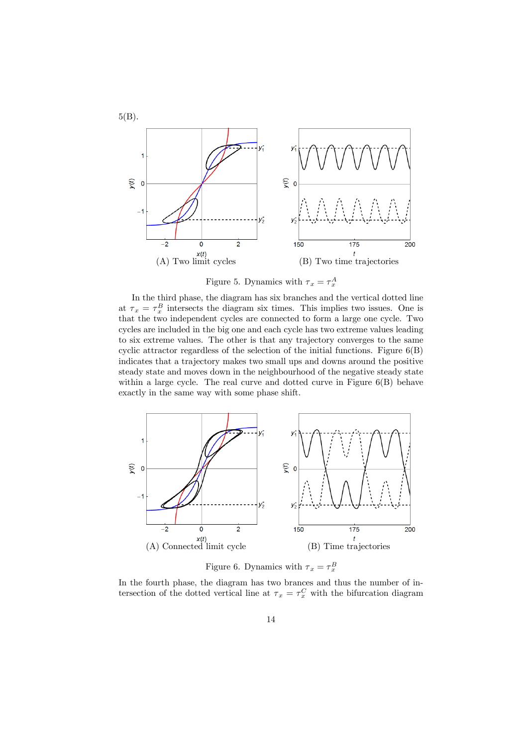



In the third phase, the diagram has six branches and the vertical dotted line at  $\tau_x = \tau_x^B$  intersects the diagram six times. This implies two issues. One is that the two independent cycles are connected to form a large one cycle. Two cycles are included in the big one and each cycle has two extreme values leading to six extreme values. The other is that any trajectory converges to the same cyclic attractor regardless of the selection of the initial functions. Figure  $6(B)$ indicates that a trajectory makes two small ups and downs around the positive steady state and moves down in the neighbourhood of the negative steady state within a large cycle. The real curve and dotted curve in Figure 6(B) behave exactly in the same way with some phase shift.



Figure 6. Dynamics with  $\tau_x = \tau_x^B$ 

In the fourth phase, the diagram has two brances and thus the number of intersection of the dotted vertical line at  $\tau_x = \tau_x^C$  with the bifurcation diagram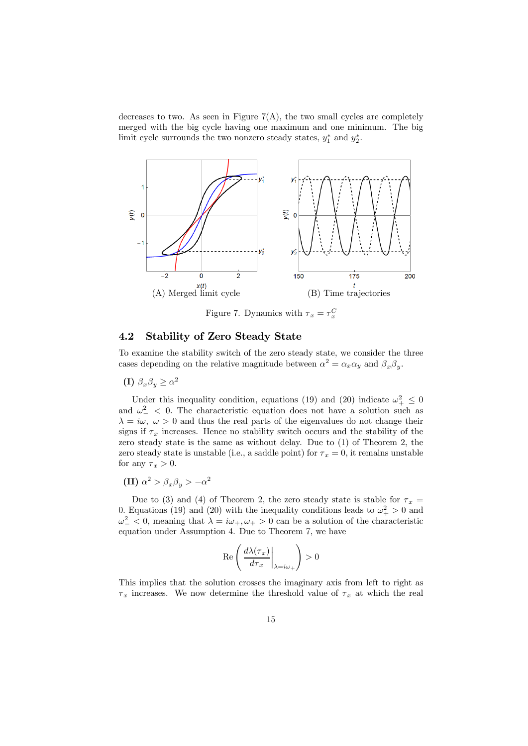decreases to two. As seen in Figure  $7(A)$ , the two small cycles are completely merged with the big cycle having one maximum and one minimum. The big limit cycle surrounds the two nonzero steady states,  $y_1^*$  and  $y_2^*$ .



Figure 7. Dynamics with  $\tau_x = \tau_x^C$ 

### 4.2 Stability of Zero Steady State

To examine the stability switch of the zero steady state, we consider the three cases depending on the relative magnitude between  $\alpha^2 = \alpha_x \alpha_y$  and  $\beta_x \beta_y$ .

(I)  $\beta_x \beta_y \ge \alpha^2$ 

Under this inequality condition, equations (19) and (20) indicate  $\omega_+^2 \leq 0$ and  $\omega^2$  < 0. The characteristic equation does not have a solution such as  $\lambda = i\omega, \ \omega > 0$  and thus the real parts of the eigenvalues do not change their signs if  $\tau_x$  increases. Hence no stability switch occurs and the stability of the zero steady state is the same as without delay. Due to (1) of Theorem 2, the zero steady state is unstable (i.e., a saddle point) for  $\tau_x = 0$ , it remains unstable for any  $\tau_x > 0$ .

(II)  $\alpha^2 > \beta_x \beta_y > -\alpha^2$ 

Due to (3) and (4) of Theorem 2, the zero steady state is stable for  $\tau_x =$ 0. Equations (19) and (20) with the inequality conditions leads to  $\omega_+^2 > 0$  and  $\omega^2 < 0$ , meaning that  $\lambda = i\omega_+, \omega_+ > 0$  can be a solution of the characteristic equation under Assumption 4. Due to Theorem 7, we have

$$
\text{Re}\left(\left.\frac{d\lambda(\tau_x)}{d\tau_x}\right|_{\lambda=i\omega_+}\right)>0
$$

This implies that the solution crosses the imaginary axis from left to right as  $\tau_x$  increases. We now determine the threshold value of  $\tau_x$  at which the real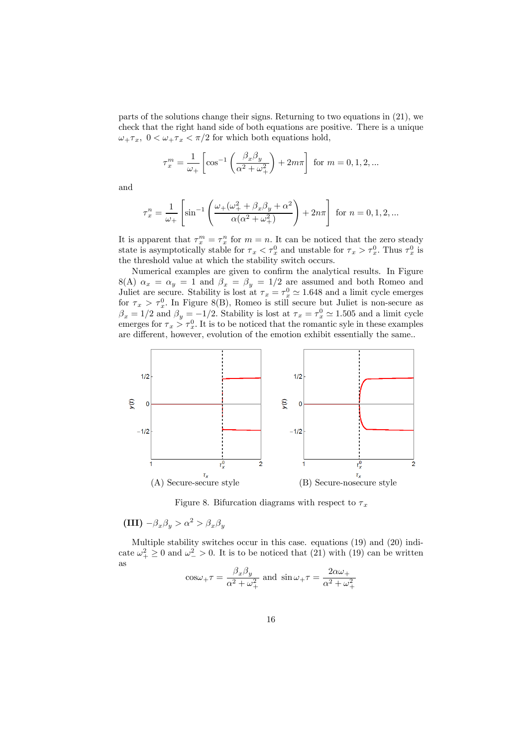parts of the solutions change their signs. Returning to two equations in (21), we check that the right hand side of both equations are positive. There is a unique  $\omega_{+}\tau_{x}, 0 < \omega_{+}\tau_{x} < \pi/2$  for which both equations hold,

$$
\tau_x^m = \frac{1}{\omega_+} \left[ \cos^{-1} \left( \frac{\beta_x \beta_y}{\alpha^2 + \omega_+^2} \right) + 2m\pi \right] \text{ for } m = 0, 1, 2, \dots
$$

and

$$
\tau_x^n = \frac{1}{\omega_+} \left[ \sin^{-1} \left( \frac{\omega_+ (\omega_+^2 + \beta_x \beta_y + \alpha^2)}{\alpha(\alpha^2 + \omega_+^2)} \right) + 2n\pi \right] \text{ for } n = 0, 1, 2, \dots
$$

It is apparent that  $\tau_x^m = \tau_x^n$  for  $m = n$ . It can be noticed that the zero steady state is asymptotically stable for  $\tau_x < \tau_x^0$  and unstable for  $\tau_x > \tau_x^0$ . Thus  $\tau_x^0$  is the threshold value at which the stability switch occurs.

Numerical examples are given to confirm the analytical results. In Figure  $8(A) \alpha_x = \alpha_y = 1$  and  $\beta_x = \beta_y = 1/2$  are assumed and both Romeo and Juliet are secure. Stability is lost at  $\tau_x = \tau_x^0 \approx 1.648$  and a limit cycle emerges for  $\tau_x > \tau_x^0$ . In Figure 8(B), Romeo is still secure but Juliet is non-secure as  $\beta_x = 1/2$  and  $\beta_y = -1/2$ . Stability is lost at  $\tau_x = \tau_x^0 \approx 1.505$  and a limit cycle emerges for  $\tau_x > \tau_x^0$ . It is to be noticed that the romantic syle in these examples are different, however, evolution of the emotion exhibit essentially the same..



Figure 8. Bifurcation diagrams with respect to  $\tau_x$ 

(III) 
$$
-\beta_x \beta_y > \alpha^2 > \beta_x \beta_y
$$

Multiple stability switches occur in this case. equations (19) and (20) indicate  $\omega_+^2 \geq 0$  and  $\omega_-^2 > 0$ . It is to be noticed that (21) with (19) can be written as

$$
\cos\omega_{+}\tau = \frac{\beta_{x}\beta_{y}}{\alpha^{2} + \omega_{+}^{2}} \text{ and } \sin\omega_{+}\tau = \frac{2\alpha\omega_{+}}{\alpha^{2} + \omega_{+}^{2}}
$$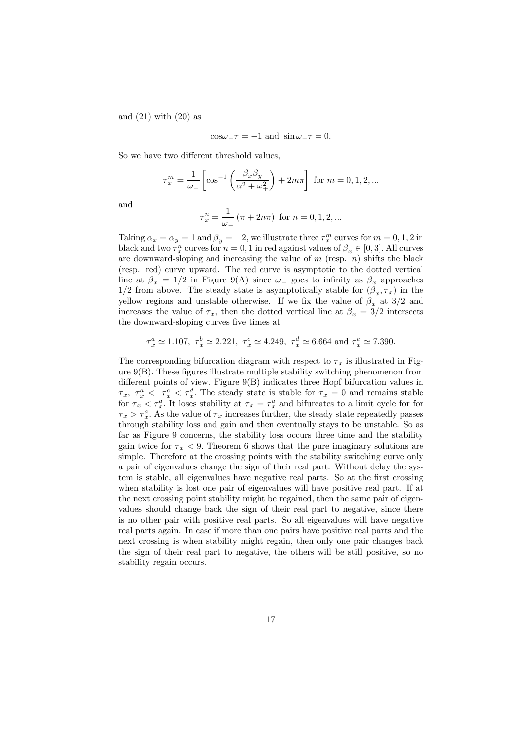and  $(21)$  with  $(20)$  as

$$
\cos \omega_- \tau = -1 \text{ and } \sin \omega_- \tau = 0.
$$

So we have two different threshold values,

$$
\tau_x^m = \frac{1}{\omega_+} \left[ \cos^{-1} \left( \frac{\beta_x \beta_y}{\alpha^2 + \omega_+^2} \right) + 2m\pi \right] \text{ for } m = 0, 1, 2, \dots
$$

and

$$
\tau_x^n = \frac{1}{\omega_-} (\pi + 2n\pi)
$$
 for  $n = 0, 1, 2, ...$ 

Taking  $\alpha_x = \alpha_y = 1$  and  $\beta_y = -2$ , we illustrate three  $\tau_x^m$  curves for  $m = 0, 1, 2$  in black and two  $\tau_x^n$  curves for  $n = 0, 1$  in red against values of  $\beta_x \in [0, 3]$ . All curves are downward-sloping and increasing the value of  $m$  (resp.  $n$ ) shifts the black (resp. red) curve upward. The red curve is asymptotic to the dotted vertical line at  $\beta_x = 1/2$  in Figure 9(A) since  $\omega_-$  goes to infinity as  $\beta_x$  approaches 1/2 from above. The steady state is asymptotically stable for  $(\beta_x, \tau_x)$  in the yellow regions and unstable otherwise. If we fix the value of  $\beta_x$  at 3/2 and increases the value of  $\tau_x$ , then the dotted vertical line at  $\beta_x = 3/2$  intersects the downward-sloping curves five times at

$$
\tau_x^a \simeq 1.107, \ \tau_x^b \simeq 2.221, \ \tau_x^c \simeq 4.249, \ \tau_x^d \simeq 6.664 \ \text{and} \ \tau_x^e \simeq 7.390.
$$

The corresponding bifurcation diagram with respect to  $\tau_x$  is illustrated in Figure 9(B). These figures illustrate multiple stability switching phenomenon from different points of view. Figure 9(B) indicates three Hopf bifurcation values in  $\tau_x$ ,  $\tau_x^a$   $\lt$   $\tau_x^c$   $\lt$   $\tau_x^d$ . The steady state is stable for  $\tau_x = 0$  and remains stable for  $\tau_x < \tau_x^a$ . It loses stability at  $\tau_x = \tau_x^a$  and bifurcates to a limit cycle for for  $\tau_x > \tau_x^a$ . As the value of  $\tau_x$  increases further, the steady state repeatedly passes through stability loss and gain and then eventually stays to be unstable. So as far as Figure 9 concerns, the stability loss occurs three time and the stability gain twice for  $\tau_x < 9$ . Theorem 6 shows that the pure imaginary solutions are simple. Therefore at the crossing points with the stability switching curve only a pair of eigenvalues change the sign of their real part. Without delay the system is stable, all eigenvalues have negative real parts. So at the first crossing when stability is lost one pair of eigenvalues will have positive real part. If at the next crossing point stability might be regained, then the same pair of eigenvalues should change back the sign of their real part to negative, since there is no other pair with positive real parts. So all eigenvalues will have negative real parts again. In case if more than one pairs have positive real parts and the next crossing is when stability might regain, then only one pair changes back the sign of their real part to negative, the others will be still positive, so no stability regain occurs.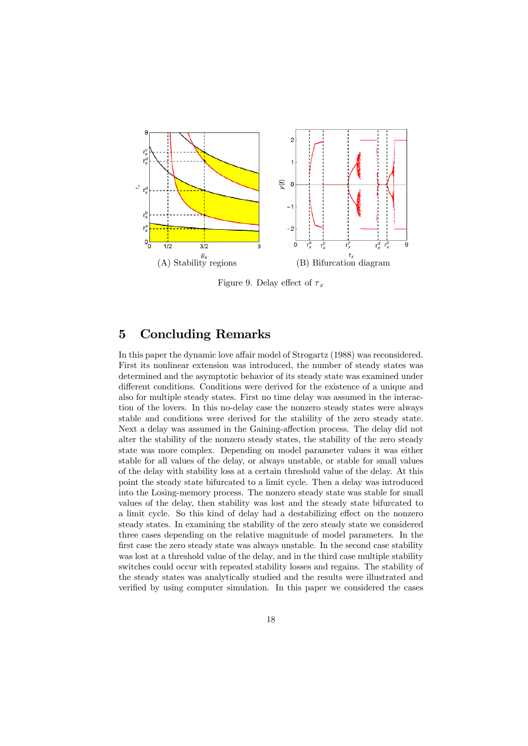

Figure 9. Delay effect of  $\tau_x$ 

## 5 Concluding Remarks

In this paper the dynamic love affair model of Strogartz (1988) was reconsidered. First its nonlinear extension was introduced, the number of steady states was determined and the asymptotic behavior of its steady state was examined under different conditions. Conditions were derived for the existence of a unique and also for multiple steady states. First no time delay was assumed in the interaction of the lovers. In this no-delay case the nonzero steady states were always stable and conditions were derived for the stability of the zero steady state. Next a delay was assumed in the Gaining-affection process. The delay did not alter the stability of the nonzero steady states, the stability of the zero steady state was more complex. Depending on model parameter values it was either stable for all values of the delay, or always unstable, or stable for small values of the delay with stability loss at a certain threshold value of the delay. At this point the steady state bifurcated to a limit cycle. Then a delay was introduced into the Losing-memory process. The nonzero steady state was stable for small values of the delay, then stability was lost and the steady state bifurcated to a limit cycle. So this kind of delay had a destabilizing effect on the nonzero steady states. In examining the stability of the zero steady state we considered three cases depending on the relative magnitude of model parameters. In the first case the zero steady state was always unstable. In the second case stability was lost at a threshold value of the delay, and in the third case multiple stability switches could occur with repeated stability losses and regains. The stability of the steady states was analytically studied and the results were illustrated and verified by using computer simulation. In this paper we considered the cases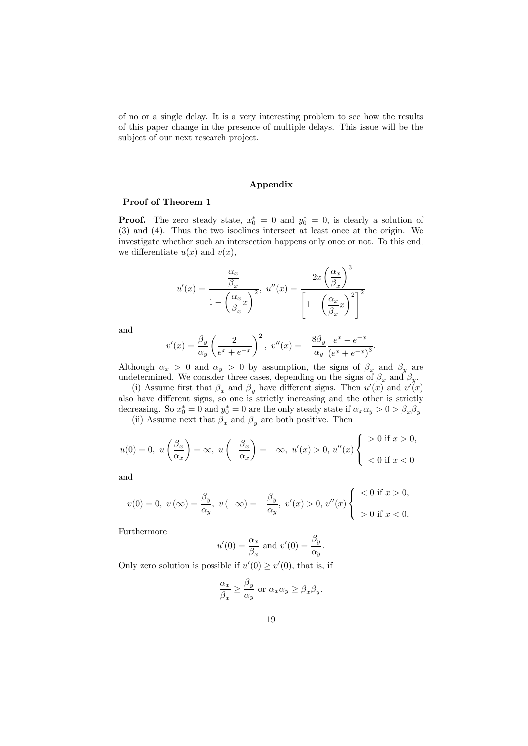of no or a single delay. It is a very interesting problem to see how the results of this paper change in the presence of multiple delays. This issue will be the subject of our next research project.

### Appendix

### Proof of Theorem 1

**Proof.** The zero steady state,  $x_0^* = 0$  and  $y_0^* = 0$ , is clearly a solution of (3) and (4). Thus the two isoclines intersect at least once at the origin. We investigate whether such an intersection happens only once or not. To this end, we differentiate  $u(x)$  and  $v(x)$ ,

$$
u'(x) = \frac{\frac{\alpha_x}{\beta_x}}{1 - \left(\frac{\alpha_x}{\beta_x}x\right)^2}, \ u''(x) = \frac{2x\left(\frac{\alpha_x}{\beta_x}\right)^3}{\left[1 - \left(\frac{\alpha_x}{\beta_x}x\right)^2\right]^2}
$$

and

$$
v'(x) = \frac{\beta_y}{\alpha_y} \left( \frac{2}{e^x + e^{-x}} \right)^2, \ v''(x) = -\frac{8\beta_y}{\alpha_y} \frac{e^x - e^{-x}}{(e^x + e^{-x})^3}.
$$

Although  $\alpha_x > 0$  and  $\alpha_y > 0$  by assumption, the signs of  $\beta_x$  and  $\beta_y$  are undetermined. We consider three cases, depending on the signs of  $\beta_x$  and  $\beta_y$ .

(i) Assume first that  $\beta_x$  and  $\beta_y$  have different signs. Then  $u'(x)$  and  $v'(x)$ also have different signs, so one is strictly increasing and the other is strictly decreasing. So  $x_0^* = 0$  and  $y_0^* = 0$  are the only steady state if  $\alpha_x \alpha_y > 0 > \beta_x \beta_y$ .

(ii) Assume next that  $\beta_x$  and  $\beta_y$  are both positive. Then

$$
u(0) = 0, \ u\left(\frac{\beta_x}{\alpha_x}\right) = \infty, \ u\left(-\frac{\beta_x}{\alpha_x}\right) = -\infty, \ u'(x) > 0, \ u''(x) \begin{cases} > 0 \text{ if } x > 0, \\ < 0 \text{ if } x < 0 \end{cases}
$$

and

$$
v(0) = 0, \ v(\infty) = \frac{\beta_y}{\alpha_y}, \ v(-\infty) = -\frac{\beta_y}{\alpha_y}, \ v'(x) > 0, \ v''(x) \begin{cases} < 0 \text{ if } x > 0, \\ > 0 \text{ if } x < 0. \end{cases}
$$

Furthermore

$$
u'(0) = \frac{\alpha_x}{\beta_x} \text{ and } v'(0) = \frac{\beta_y}{\alpha_y}.
$$

Only zero solution is possible if  $u'(0) \ge v'(0)$ , that is, if

$$
\frac{\alpha_x}{\beta_x} \ge \frac{\beta_y}{\alpha_y} \text{ or } \alpha_x \alpha_y \ge \beta_x \beta_y.
$$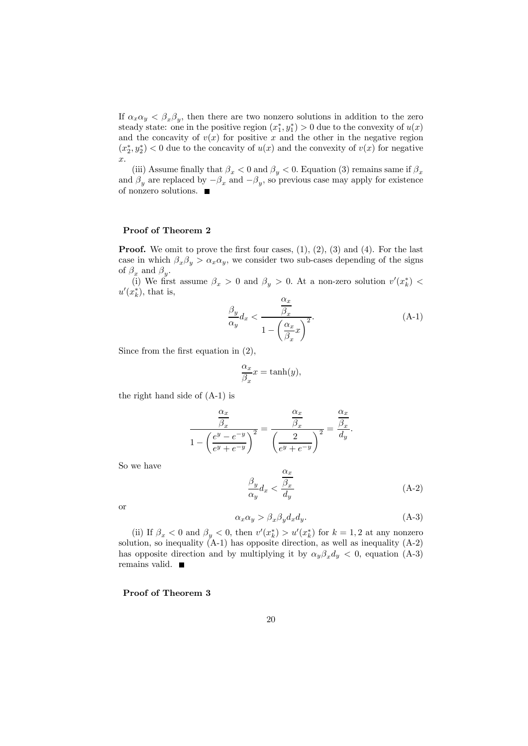If  $\alpha_x \alpha_y \leq \beta_x \beta_y$ , then there are two nonzero solutions in addition to the zero steady state: one in the positive region  $(x_1^*, y_1^*) > 0$  due to the convexity of  $u(x)$ and the concavity of  $v(x)$  for positive x and the other in the negative region  $(x_2^*, y_2^*)$  < 0 due to the concavity of  $u(x)$  and the convexity of  $v(x)$  for negative x.

(iii) Assume finally that  $\beta_x < 0$  and  $\beta_y < 0$ . Equation (3) remains same if  $\beta_x$ and  $\beta_y$  are replaced by  $-\beta_x$  and  $-\beta_y$ , so previous case may apply for existence of nonzero solutions.

### Proof of Theorem 2

**Proof.** We omit to prove the first four cases,  $(1)$ ,  $(2)$ ,  $(3)$  and  $(4)$ . For the last case in which  $\beta_x \beta_y > \alpha_x \alpha_y$ , we consider two sub-cases depending of the signs of  $\beta_x$  and  $\beta_y$ .

(i) We first assume  $\beta_x > 0$  and  $\beta_y > 0$ . At a non-zero solution  $v'(x_k^*)$  $u'(x_k^*),$  that is,  $\alpha$ 

$$
\frac{\beta_y}{\alpha_y} d_x < \frac{\frac{\alpha_x}{\beta_x}}{1 - \left(\frac{\alpha_x}{\beta_x} x\right)^2}.\tag{A-1}
$$

Since from the first equation in (2),

$$
\frac{\alpha_x}{\beta_x}x = \tanh(y),
$$

the right hand side of (A-1) is

$$
\frac{\frac{\alpha_x}{\beta_x}}{1 - \left(\frac{e^y - e^{-y}}{e^y + e^{-y}}\right)^2} = \frac{\frac{\alpha_x}{\beta_x}}{\left(\frac{2}{e^y + e^{-y}}\right)^2} = \frac{\frac{\alpha_x}{\beta_x}}{d_y}.
$$

So we have

$$
\frac{\beta_y}{\alpha_y} d_x < \frac{\frac{\alpha_x}{\beta_x}}{d_y} \tag{A-2}
$$

or

$$
\alpha_x \alpha_y > \beta_x \beta_y d_x d_y. \tag{A-3}
$$

(ii) If  $\beta_x < 0$  and  $\beta_y < 0$ , then  $v'(x_k^*) > u'(x_k^*)$  for  $k = 1, 2$  at any nonzero solution, so inequality  $(A-1)$  has opposite direction, as well as inequality  $(A-2)$ has opposite direction and by multiplying it by  $\alpha_y \beta_x d_y < 0$ , equation (A-3) remains valid.

Proof of Theorem 3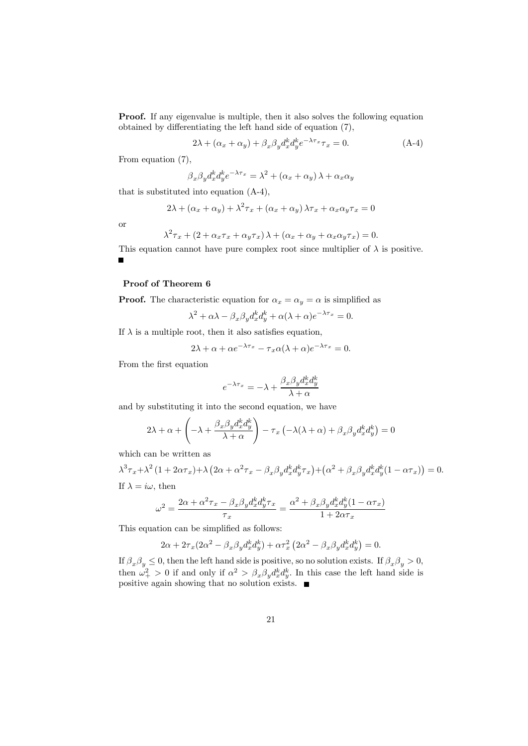Proof. If any eigenvalue is multiple, then it also solves the following equation obtained by differentiating the left hand side of equation (7),

$$
2\lambda + (\alpha_x + \alpha_y) + \beta_x \beta_y d_x^k d_y^k e^{-\lambda \tau_x} \tau_x = 0.
$$
 (A-4)

From equation (7),

$$
\beta_x \beta_y d_x^k d_y^k e^{-\lambda \tau_x} = \lambda^2 + (\alpha_x + \alpha_y) \lambda + \alpha_x \alpha_y
$$

that is substituted into equation (A-4),

$$
2\lambda + (\alpha_x + \alpha_y) + \lambda^2 \tau_x + (\alpha_x + \alpha_y) \lambda \tau_x + \alpha_x \alpha_y \tau_x = 0
$$

or

$$
\lambda^{2} \tau_{x} + (2 + \alpha_{x} \tau_{x} + \alpha_{y} \tau_{x}) \lambda + (\alpha_{x} + \alpha_{y} + \alpha_{x} \alpha_{y} \tau_{x}) = 0.
$$

This equation cannot have pure complex root since multiplier of  $\lambda$  is positive. п

#### Proof of Theorem 6

**Proof.** The characteristic equation for  $\alpha_x = \alpha_y = \alpha$  is simplified as

$$
\lambda^2 + \alpha \lambda - \beta_x \beta_y d_x^k d_y^k + \alpha (\lambda + \alpha) e^{-\lambda \tau_x} = 0.
$$

If  $\lambda$  is a multiple root, then it also satisfies equation,

$$
2\lambda + \alpha + \alpha e^{-\lambda \tau_x} - \tau_x \alpha (\lambda + \alpha) e^{-\lambda \tau_x} = 0.
$$

From the first equation

$$
e^{-\lambda \tau_x} = -\lambda + \frac{\beta_x \beta_y d_x^k d_y^k}{\lambda + \alpha}
$$

and by substituting it into the second equation, we have

$$
2\lambda + \alpha + \left(-\lambda + \frac{\beta_x \beta_y d_x^k d_y^k}{\lambda + \alpha}\right) - \tau_x \left(-\lambda(\lambda + \alpha) + \beta_x \beta_y d_x^k d_y^k\right) = 0
$$

which can be written as

 $\lambda^3 \tau_x + \lambda^2 (1 + 2\alpha \tau_x) + \lambda (2\alpha + \alpha^2 \tau_x - \beta_x \beta_y d_x^k d_y^k \tau_x) + (\alpha^2 + \beta_x \beta_y d_x^k d_y^k (1 - \alpha \tau_x)) = 0.$ If  $\lambda = i\omega$ , then

$$
\omega^2=\frac{2\alpha+\alpha^2\tau_x-\beta_x\beta_yd_x^kd_y^k\tau_x}{\tau_x}=\frac{\alpha^2+\beta_x\beta_yd_x^kd_y^k(1-\alpha\tau_x)}{1+2\alpha\tau_x}
$$

This equation can be simplified as follows:

$$
2\alpha + 2\tau_x (2\alpha^2 - \beta_x \beta_y d_x^k d_y^k) + \alpha \tau_x^2 (2\alpha^2 - \beta_x \beta_y d_x^k d_y^k) = 0.
$$

If  $\beta_x \beta_y \leq 0$ , then the left hand side is positive, so no solution exists. If  $\beta_x \beta_y > 0$ , then  $\omega_+^2 > 0$  if and only if  $\alpha^2 > \beta_x \beta_y d_x^k d_y^k$ . In this case the left hand side is positive again showing that no solution exists.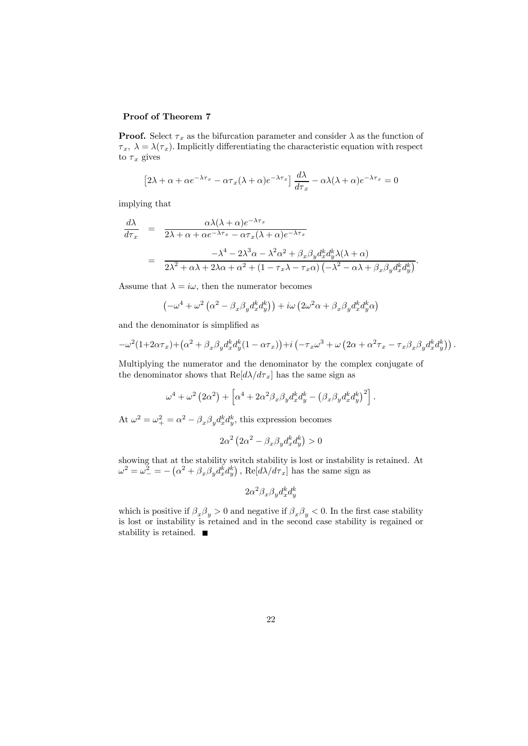### Proof of Theorem 7

**Proof.** Select  $\tau_x$  as the bifurcation parameter and consider  $\lambda$  as the function of  $\tau_x$ ,  $\lambda = \lambda(\tau_x)$ . Implicitly differentiating the characteristic equation with respect to  $\tau_x$  gives

$$
\left[2\lambda+\alpha+\alpha e^{-\lambda\tau_x}-\alpha\tau_x(\lambda+\alpha)e^{-\lambda\tau_x}\right]\frac{d\lambda}{d\tau_x}-\alpha\lambda(\lambda+\alpha)e^{-\lambda\tau_x}=0
$$

implying that

$$
\frac{d\lambda}{d\tau_x} = \frac{\alpha\lambda(\lambda+\alpha)e^{-\lambda\tau_x}}{2\lambda+\alpha+\alpha e^{-\lambda\tau_x}-\alpha\tau_x(\lambda+\alpha)e^{-\lambda\tau_x}}
$$
\n
$$
= \frac{-\lambda^4 - 2\lambda^3\alpha - \lambda^2\alpha^2 + \beta_x\beta_y d_x^k d_y^k \lambda(\lambda+\alpha)}{2\lambda^2+\alpha\lambda+2\lambda\alpha+\alpha^2+(1-\tau_x\lambda-\tau_x\alpha)\left(-\lambda^2-\alpha\lambda+\beta_x\beta_y d_x^k d_y^k\right)}.
$$

Assume that  $\lambda = i\omega$ , then the numerator becomes

$$
\left(-\omega^4 + \omega^2\left(\alpha^2 - \beta_x\beta_yd_x^k d_y^k\right)\right) + i\omega\left(2\omega^2\alpha + \beta_x\beta_yd_x^k d_y^k\alpha\right)
$$

and the denominator is simplified as

$$
-\omega^2(1+2\alpha\tau_x)+(\alpha^2+\beta_x\beta_yd_x^kd_y^k(1-\alpha\tau_x))+i(-\tau_x\omega^3+\omega(2\alpha+\alpha^2\tau_x-\tau_x\beta_x\beta_yd_x^kd_y^k)).
$$

Multiplying the numerator and the denominator by the complex conjugate of the denominator shows that  $\text{Re}[d\lambda/d\tau_x]$  has the same sign as

$$
\omega^4 + \omega^2 \left(2\alpha^2\right) + \left[\alpha^4 + 2\alpha^2\beta_x\beta_y d_x^k d_y^k - \left(\beta_x\beta_y d_x^k d_y^k\right)^2\right].
$$

At  $\omega^2 = \omega_+^2 = \alpha^2 - \beta_x \beta_y d_x^k d_y^k$ , this expression becomes

$$
2\alpha^2 \left(2\alpha^2 - \beta_x \beta_y d_x^k d_y^k\right) > 0
$$

showing that at the stability switch stability is lost or instability is retained. At  $\omega^2 = \omega_-^2 = -\left(\alpha^2 + \beta_x\beta_yd_x^k d_y^k\right)$ , Re $[d\lambda/d\tau_x]$  has the same sign as

$$
2\alpha^2\beta_x\beta_yd^k_xd^k_y
$$

which is positive if  $\beta_x \beta_y > 0$  and negative if  $\beta_x \beta_y < 0$ . In the first case stability is lost or instability is retained and in the second case stability is regained or stability is retained.  $\blacksquare$